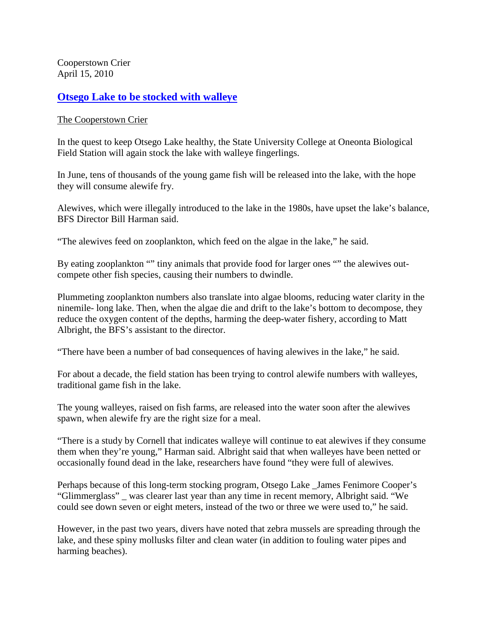Cooperstown Crier April 15, 2010

## **[Otsego Lake to be stocked with walleye](http://www.coopercrier.com/localnews/x563622182/Otsego-Lake-to-be-stocked-with-walleye)**

## [The Cooperstown Crier](http://www.coopercrier.com/)

In the quest to keep Otsego Lake healthy, the State University College at Oneonta Biological Field Station will again stock the lake with walleye fingerlings.

In June, tens of thousands of the young game fish will be released into the lake, with the hope they will consume alewife fry.

Alewives, which were illegally introduced to the lake in the 1980s, have upset the lake's balance, BFS Director Bill Harman said.

"The alewives feed on zooplankton, which feed on the algae in the lake," he said.

By eating zooplankton "" tiny animals that provide food for larger ones "" the alewives outcompete other fish species, causing their numbers to dwindle.

Plummeting zooplankton numbers also translate into algae blooms, reducing water clarity in the ninemile- long lake. Then, when the algae die and drift to the lake's bottom to decompose, they reduce the oxygen content of the depths, harming the deep-water fishery, according to Matt Albright, the BFS's assistant to the director.

"There have been a number of bad consequences of having alewives in the lake," he said.

For about a decade, the field station has been trying to control alewife numbers with walleyes, traditional game fish in the lake.

The young walleyes, raised on fish farms, are released into the water soon after the alewives spawn, when alewife fry are the right size for a meal.

"There is a study by Cornell that indicates walleye will continue to eat alewives if they consume them when they're young," Harman said. Albright said that when walleyes have been netted or occasionally found dead in the lake, researchers have found "they were full of alewives.

Perhaps because of this long-term stocking program, Otsego Lake \_James Fenimore Cooper's "Glimmerglass" \_ was clearer last year than any time in recent memory, Albright said. "We could see down seven or eight meters, instead of the two or three we were used to," he said.

However, in the past two years, divers have noted that zebra mussels are spreading through the lake, and these spiny mollusks filter and clean water (in addition to fouling water pipes and harming beaches).